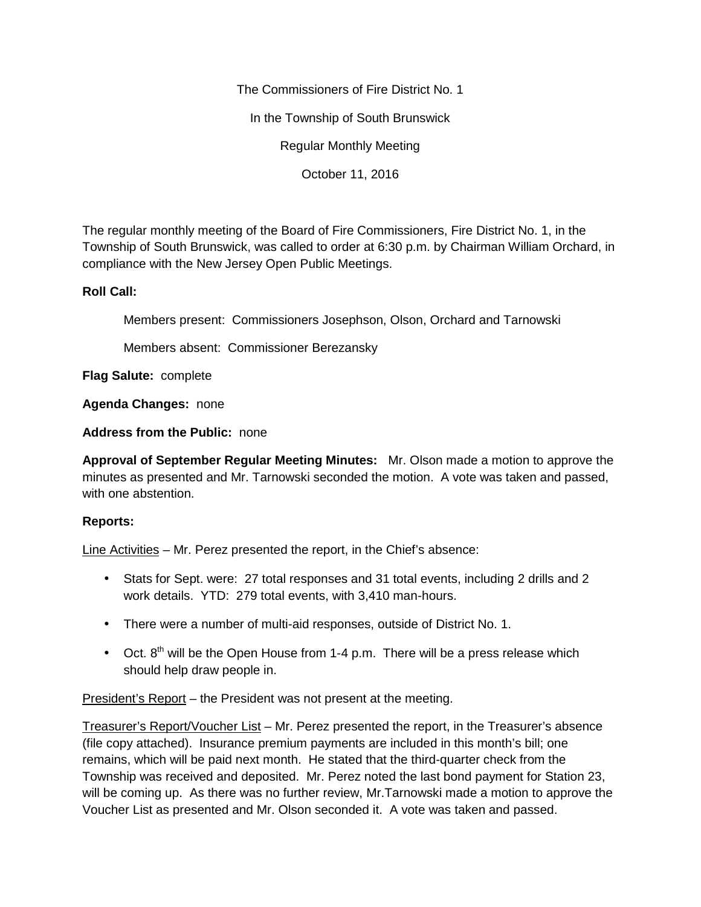The Commissioners of Fire District No. 1

In the Township of South Brunswick

Regular Monthly Meeting

October 11, 2016

The regular monthly meeting of the Board of Fire Commissioners, Fire District No. 1, in the Township of South Brunswick, was called to order at 6:30 p.m. by Chairman William Orchard, in compliance with the New Jersey Open Public Meetings.

## **Roll Call:**

Members present: Commissioners Josephson, Olson, Orchard and Tarnowski

Members absent: Commissioner Berezansky

**Flag Salute:** complete

**Agenda Changes:** none

**Address from the Public:** none

**Approval of September Regular Meeting Minutes:** Mr. Olson made a motion to approve the minutes as presented and Mr. Tarnowski seconded the motion. A vote was taken and passed, with one abstention.

## **Reports:**

Line Activities – Mr. Perez presented the report, in the Chief's absence:

- Stats for Sept. were: 27 total responses and 31 total events, including 2 drills and 2 work details. YTD: 279 total events, with 3,410 man-hours.
- There were a number of multi-aid responses, outside of District No. 1.
- $\bullet$  Oct.  $8^{th}$  will be the Open House from 1-4 p.m. There will be a press release which should help draw people in.

President's Report – the President was not present at the meeting.

Treasurer's Report/Voucher List – Mr. Perez presented the report, in the Treasurer's absence (file copy attached). Insurance premium payments are included in this month's bill; one remains, which will be paid next month. He stated that the third-quarter check from the Township was received and deposited. Mr. Perez noted the last bond payment for Station 23, will be coming up. As there was no further review, Mr.Tarnowski made a motion to approve the Voucher List as presented and Mr. Olson seconded it. A vote was taken and passed.